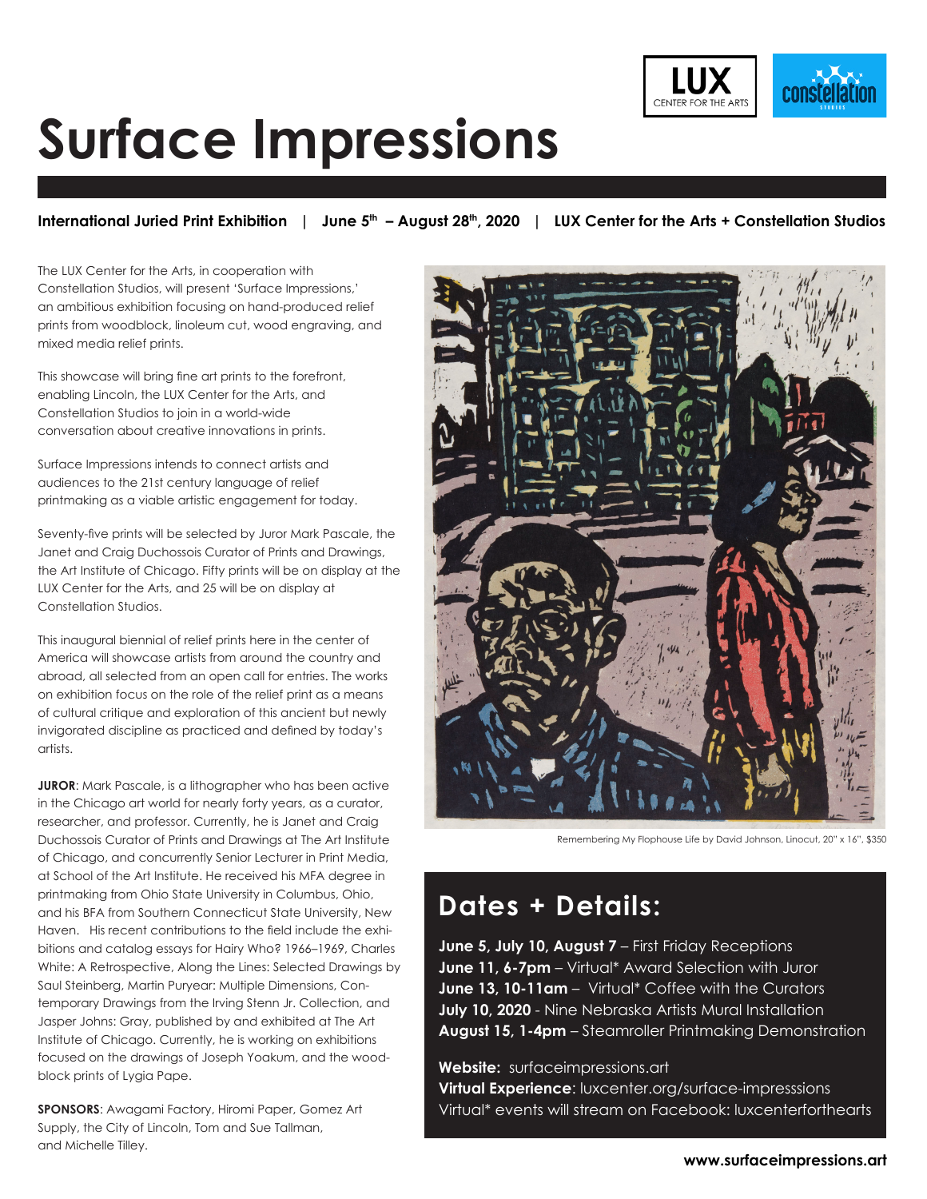

## **Surface Impressions**

International Juried Print Exhibition | June 5<sup>th</sup> - August 28<sup>th</sup>, 2020 | LUX Center for the Arts + Constellation Studios

The LUX Center for the Arts, in cooperation with Constellation Studios, will present 'Surface Impressions,' an ambitious exhibition focusing on hand-produced relief prints from woodblock, linoleum cut, wood engraving, and mixed media relief prints.

This showcase will bring fine art prints to the forefront, enabling Lincoln, the LUX Center for the Arts, and Constellation Studios to join in a world-wide conversation about creative innovations in prints.

Surface Impressions intends to connect artists and audiences to the 21st century language of relief printmaking as a viable artistic engagement for today.

Seventy-five prints will be selected by Juror Mark Pascale, the Janet and Craig Duchossois Curator of Prints and Drawings, the Art Institute of Chicago. Fifty prints will be on display at the LUX Center for the Arts, and 25 will be on display at Constellation Studios.

This inaugural biennial of relief prints here in the center of America will showcase artists from around the country and abroad, all selected from an open call for entries. The works on exhibition focus on the role of the relief print as a means of cultural critique and exploration of this ancient but newly invigorated discipline as practiced and defined by today's artists.

**JUROR**: Mark Pascale, is a lithographer who has been active in the Chicago art world for nearly forty years, as a curator, researcher, and professor. Currently, he is Janet and Craig Duchossois Curator of Prints and Drawings at The Art Institute of Chicago, and concurrently Senior Lecturer in Print Media, at School of the Art Institute. He received his MFA degree in printmaking from Ohio State University in Columbus, Ohio, and his BFA from Southern Connecticut State University, New Haven. His recent contributions to the field include the exhibitions and catalog essays for Hairy Who? 1966–1969, Charles White: A Retrospective, Along the Lines: Selected Drawings by Saul Steinberg, Martin Puryear: Multiple Dimensions, Contemporary Drawings from the Irving Stenn Jr. Collection, and Jasper Johns: Gray, published by and exhibited at The Art Institute of Chicago. Currently, he is working on exhibitions focused on the drawings of Joseph Yoakum, and the woodblock prints of Lygia Pape.

**SPONSORS**: Awagami Factory, Hiromi Paper, Gomez Art Supply, the City of Lincoln, Tom and Sue Tallman, and Michelle Tilley.



Remembering My Flophouse Life by David Johnson, Linocut, 20" x 16", \$350

### **Dates + Details:**

**June 5, July 10, August 7** – First Friday Receptions **June 11, 6-7pm** – Virtual\* Award Selection with Juror **June 13, 10-11am** – Virtual\* Coffee with the Curators **July 10, 2020** - Nine Nebraska Artists Mural Installation **August 15, 1-4pm** – Steamroller Printmaking Demonstration

#### **Website:** surfaceimpressions.art

**Virtual Experience**: luxcenter.org/surface-impresssions Virtual\* events will stream on Facebook: luxcenterforthearts